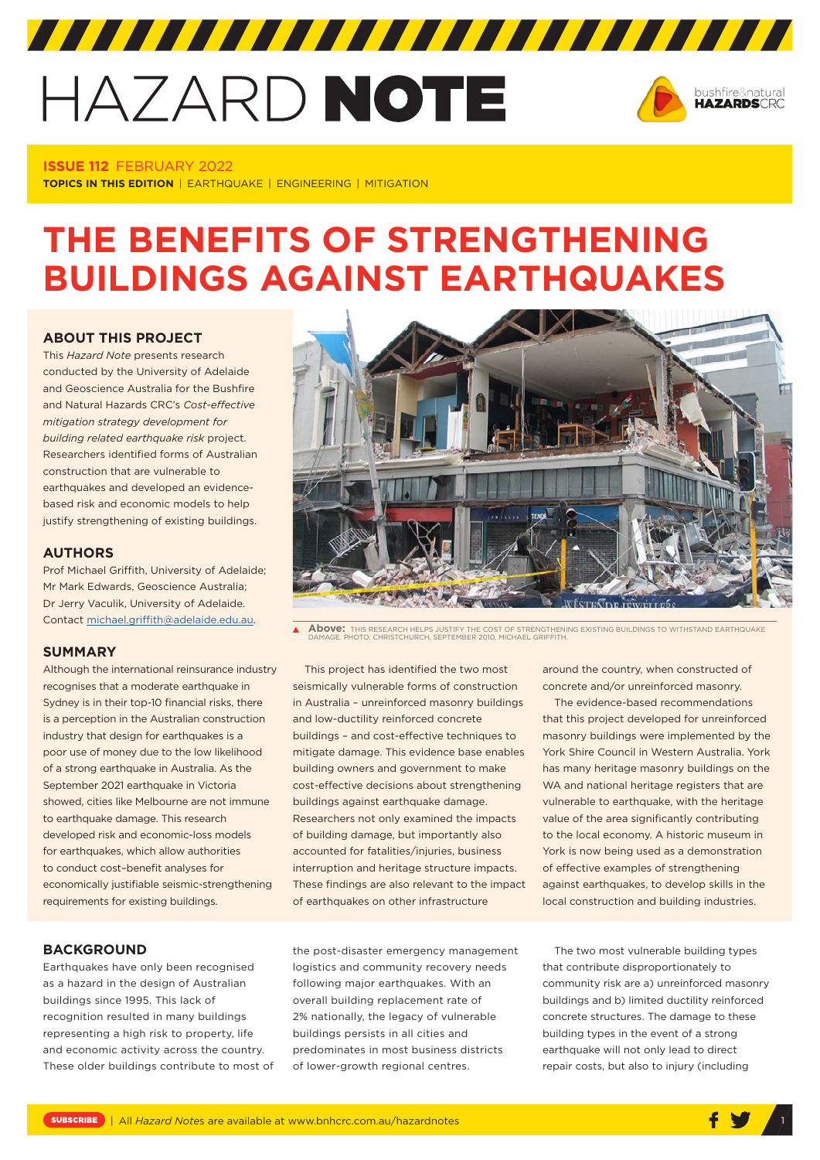# HAZARD NOTE



# **ISSUE 112** FEBRUARY 2022

**TOPICS IN THIS EDITION** | EARTHQUAKE | ENGINEERING | MITIGATION

# **THE BENEFITS OF STRENGTHENING BUILDINGS AGAINST EARTHQUAKES**

# **ABOUT THIS PROJECT**

This *Hazard Note* presents research conducted by the University of Adelaide and Geoscience Australia for the Bushfire and Natural Hazards CRC's *Cost-effective mitigation strategy development for building related earthquake risk* project. Researchers identified forms of Australian construction that are vulnerable to earthquakes and developed an evidencebased risk and economic models to help justify strengthening of existing buildings.

#### **AUTHORS**

Prof Michael Griffith, University of Adelaide; Mr Mark Edwards, Geoscience Australia; Dr Jerry Vaculik, University of Adelaide. Contact [michael.griffith@adelaide.edu.au.](mailto:michael.griffith@adelaide.edu.au)

#### **SUMMARY**

Although the international reinsurance industry recognises that a moderate earthquake in Sydney is in their top-10 financial risks, there is a perception in the Australian construction industry that design for earthquakes is a poor use of money due to the low likelihood of a strong earthquake in Australia. As the September 2021 earthquake in Victoria showed, cities like Melbourne are not immune to earthquake damage. This research developed risk and economic-loss models for earthquakes, which allow authorities to conduct cost–benefit analyses for economically justifiable seismic-strengthening requirements for existing buildings.

### **BACKGROUND**

Earthquakes have only been recognised as a hazard in the design of Australian buildings since 1995. This lack of recognition resulted in many buildings representing a high risk to property, life and economic activity across the country. These older buildings contribute to most of



**Above:** THIS RESEARCH HELPS JUSTIFY THE COST OF STRENGTHENING EXISTING BUILDINGS TO WITHSTAND EARTHQUAKE DAMAGE. PHOTO: CHRISTCHURCH, SEPTEMBER 2010, MICHAEL GRIFFITH.

This project has identified the two most seismically vulnerable forms of construction in Australia – unreinforced masonry buildings and low-ductility reinforced concrete buildings – and cost-effective techniques to mitigate damage. This evidence base enables building owners and government to make cost-effective decisions about strengthening buildings against earthquake damage. Researchers not only examined the impacts of building damage, but importantly also accounted for fatalities/injuries, business interruption and heritage structure impacts. These findings are also relevant to the impact of earthquakes on other infrastructure

the post-disaster emergency management logistics and community recovery needs following major earthquakes. With an overall building replacement rate of 2% nationally, the legacy of vulnerable buildings persists in all cities and predominates in most business districts of lower-growth regional centres.

around the country, when constructed of concrete and/or unreinforced masonry.

The evidence-based recommendations that this project developed for unreinforced masonry buildings were implemented by the York Shire Council in Western Australia. York has many heritage masonry buildings on the WA and national heritage registers that are vulnerable to earthquake, with the heritage value of the area significantly contributing to the local economy. A historic museum in York is now being used as a demonstration of effective examples of strengthening against earthquakes, to develop skills in the local construction and building industries.

The two most vulnerable building types that contribute disproportionately to community risk are a) unreinforced masonry buildings and b) limited ductility reinforced concrete structures. The damage to these building types in the event of a strong earthquake will not only lead to direct repair costs, but also to injury (including